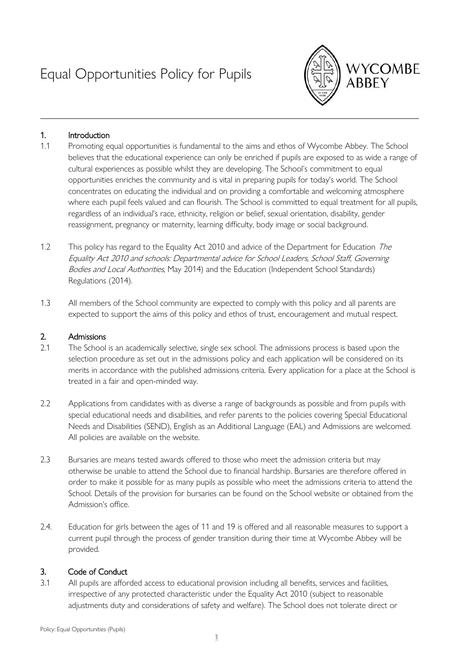# Equal Opportunities Policy for Pupils



# 1. Introduction

- 1.1 Promoting equal opportunities is fundamental to the aims and ethos of Wycombe Abbey. The School believes that the educational experience can only be enriched if pupils are exposed to as wide a range of cultural experiences as possible whilst they are developing. The School's commitment to equal opportunities enriches the community and is vital in preparing pupils for today's world. The School concentrates on educating the individual and on providing a comfortable and welcoming atmosphere where each pupil feels valued and can flourish. The School is committed to equal treatment for all pupils, regardless of an individual's race, ethnicity, religion or belief, sexual orientation, disability, gender reassignment, pregnancy or maternity, learning difficulty, body image or social background.
- 1.2 This policy has regard to the Equality Act 2010 and advice of the Department for Education The Equality Act 2010 and schools: Departmental advice for School Leaders, School Staff, Governing Bodies and Local Authorities, May 2014) and the Education (Independent School Standards) Regulations (2014).
- 1.3 All members of the School community are expected to comply with this policy and all parents are expected to support the aims of this policy and ethos of trust, encouragement and mutual respect.

#### 2. Admissions

- 2.1 The School is an academically selective, single sex school. The admissions process is based upon the selection procedure as set out in the admissions policy and each application will be considered on its merits in accordance with the published admissions criteria. Every application for a place at the School is treated in a fair and open-minded way.
- 2.2 Applications from candidates with as diverse a range of backgrounds as possible and from pupils with special educational needs and disabilities, and refer parents to the policies covering Special Educational Needs and Disabilities (SEND), English as an Additional Language (EAL) and Admissions are welcomed. All policies are available on the website.
- 2.3 Bursaries are means tested awards offered to those who meet the admission criteria but may otherwise be unable to attend the School due to financial hardship. Bursaries are therefore offered in order to make it possible for as many pupils as possible who meet the admissions criteria to attend the School. Details of the provision for bursaries can be found on the School website or obtained from the Admission's office.
- 2.4. Education for girls between the ages of 11 and 19 is offered and all reasonable measures to support a current pupil through the process of gender transition during their time at Wycombe Abbey will be provided.

# 3. Code of Conduct

3.1 All pupils are afforded access to educational provision including all benefits, services and facilities, irrespective of any protected characteristic under the Equality Act 2010 (subject to reasonable adjustments duty and considerations of safety and welfare). The School does not tolerate direct or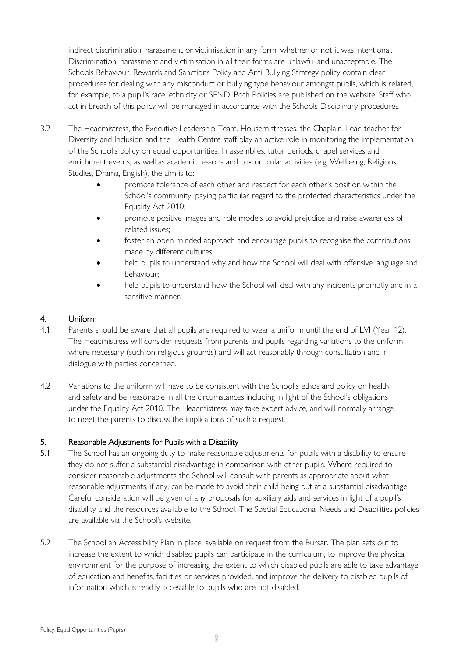indirect discrimination, harassment or victimisation in any form, whether or not it was intentional. Discrimination, harassment and victimisation in all their forms are unlawful and unacceptable. The Schools Behaviour, Rewards and Sanctions Policy and Anti-Bullying Strategy policy contain clear procedures for dealing with any misconduct or bullying type behaviour amongst pupils, which is related, for example, to a pupil's race, ethnicity or SEND. Both Policies are published on the website. Staff who act in breach of this policy will be managed in accordance with the Schools Disciplinary procedures.

- 3.2 The Headmistress, the Executive Leadership Team, Housemistresses, the Chaplain, Lead teacher for Diversity and Inclusion and the Health Centre staff play an active role in monitoring the implementation of the School's policy on equal opportunities. In assemblies, tutor periods, chapel services and enrichment events, as well as academic lessons and co-curricular activities (e.g. Wellbeing, Religious Studies, Drama, English), the aim is to:
	- promote tolerance of each other and respect for each other's position within the School's community, paying particular regard to the protected characteristics under the Equality Act 2010;
	- promote positive images and role models to avoid prejudice and raise awareness of related issues;
	- foster an open-minded approach and encourage pupils to recognise the contributions made by different cultures;
	- help pupils to understand why and how the School will deal with offensive language and behaviour;
	- help pupils to understand how the School will deal with any incidents promptly and in a sensitive manner.

# 4. Uniform

- 4.1 Parents should be aware that all pupils are required to wear a uniform until the end of LVI (Year 12). The Headmistress will consider requests from parents and pupils regarding variations to the uniform where necessary (such on religious grounds) and will act reasonably through consultation and in dialogue with parties concerned.
- 4.2 Variations to the uniform will have to be consistent with the School's ethos and policy on health and safety and be reasonable in all the circumstances including in light of the School's obligations under the Equality Act 2010. The Headmistress may take expert advice, and will normally arrange to meet the parents to discuss the implications of such a request.

# 5. Reasonable Adjustments for Pupils with a Disability

- 5.1 The School has an ongoing duty to make reasonable adjustments for pupils with a disability to ensure they do not suffer a substantial disadvantage in comparison with other pupils. Where required to consider reasonable adjustments the School will consult with parents as appropriate about what reasonable adjustments, if any, can be made to avoid their child being put at a substantial disadvantage. Careful consideration will be given of any proposals for auxiliary aids and services in light of a pupil's disability and the resources available to the School. The Special Educational Needs and Disabilities policies are available via the School's website.
- 5.2 The School an Accessibility Plan in place, available on request from the Bursar. The plan sets out to increase the extent to which disabled pupils can participate in the curriculum, to improve the physical environment for the purpose of increasing the extent to which disabled pupils are able to take advantage of education and benefits, facilities or services provided, and improve the delivery to disabled pupils of information which is readily accessible to pupils who are not disabled.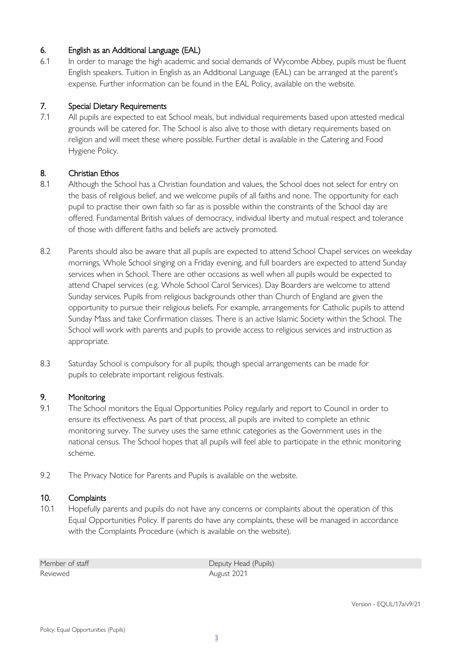# 6. English as an Additional Language (EAL)

6.1 In order to manage the high academic and social demands of Wycombe Abbey, pupils must be fluent English speakers. Tuition in English as an Additional Language (EAL) can be arranged at the parent's expense. Further information can be found in the EAL Policy, available on the website.

#### 7. Special Dietary Requirements

7.1 All pupils are expected to eat School meals, but individual requirements based upon attested medical grounds will be catered for. The School is also alive to those with dietary requirements based on religion and will meet these where possible. Further detail is available in the Catering and Food Hygiene Policy.

# 8. Christian Ethos

- 8.1 Although the School has a Christian foundation and values, the School does not select for entry on the basis of religious belief, and we welcome pupils of all faiths and none. The opportunity for each pupil to practise their own faith so far as is possible within the constraints of the School day are offered. Fundamental British values of democracy, individual liberty and mutual respect and tolerance of those with different faiths and beliefs are actively promoted.
- 8.2 Parents should also be aware that all pupils are expected to attend School Chapel services on weekday mornings, Whole School singing on a Friday evening, and full boarders are expected to attend Sunday services when in School. There are other occasions as well when all pupils would be expected to attend Chapel services (e.g. Whole School Carol Services). Day Boarders are welcome to attend Sunday services. Pupils from religious backgrounds other than Church of England are given the opportunity to pursue their religious beliefs. For example, arrangements for Catholic pupils to attend Sunday Mass and take Confirmation classes. There is an active Islamic Society within the School. The School will work with parents and pupils to provide access to religious services and instruction as appropriate.
- 8.3 Saturday School is compulsory for all pupils; though special arrangements can be made for pupils to celebrate important religious festivals.

#### 9. Monitoring

- 9.1 The School monitors the Equal Opportunities Policy regularly and report to Council in order to ensure its effectiveness. As part of that process, all pupils are invited to complete an ethnic monitoring survey. The survey uses the same ethnic categories as the Government uses in the national census. The School hopes that all pupils will feel able to participate in the ethnic monitoring scheme.
- 9.2 The Privacy Notice for Parents and Pupils is available on the website.

#### 10. Complaints

10.1 Hopefully parents and pupils do not have any concerns or complaints about the operation of this Equal Opportunities Policy. If parents do have any complaints, these will be managed in accordance with the Complaints Procedure (which is available on the website).

Reviewed **August 2021** 

Member of staff **Deputy Head (Pupils)**